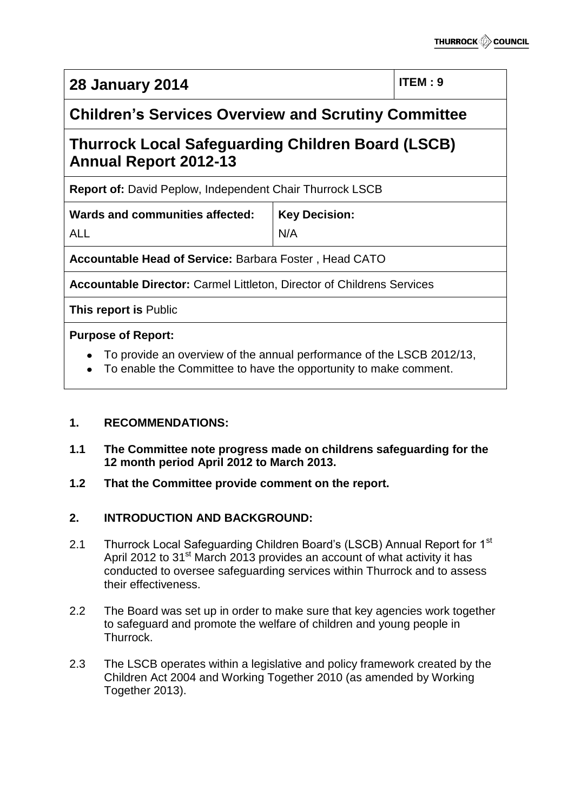| <b>28 January 2014</b>                                                                                                                                                                       |                      | <b>ITEM: 9</b> |
|----------------------------------------------------------------------------------------------------------------------------------------------------------------------------------------------|----------------------|----------------|
| <b>Children's Services Overview and Scrutiny Committee</b>                                                                                                                                   |                      |                |
| <b>Thurrock Local Safeguarding Children Board (LSCB)</b><br><b>Annual Report 2012-13</b>                                                                                                     |                      |                |
| <b>Report of: David Peplow, Independent Chair Thurrock LSCB</b>                                                                                                                              |                      |                |
| <b>Wards and communities affected:</b>                                                                                                                                                       | <b>Key Decision:</b> |                |
| <b>ALL</b>                                                                                                                                                                                   | N/A                  |                |
| Accountable Head of Service: Barbara Foster, Head CATO                                                                                                                                       |                      |                |
| <b>Accountable Director: Carmel Littleton, Director of Childrens Services</b>                                                                                                                |                      |                |
| This report is Public                                                                                                                                                                        |                      |                |
| <b>Purpose of Report:</b>                                                                                                                                                                    |                      |                |
| To provide an overview of the annual performance of the LSCB 2012/13,<br>. In the decomposition of the second contract of the second contract of the second second $\mathcal{L}_\mathcal{A}$ |                      |                |

To enable the Committee to have the opportunity to make comment.

# **1. RECOMMENDATIONS:**

- **1.1 The Committee note progress made on childrens safeguarding for the 12 month period April 2012 to March 2013.**
- **1.2 That the Committee provide comment on the report.**

# **2. INTRODUCTION AND BACKGROUND:**

- 2.1 Thurrock Local Safeguarding Children Board's (LSCB) Annual Report for 1<sup>st</sup> April 2012 to 31<sup>st</sup> March 2013 provides an account of what activity it has conducted to oversee safeguarding services within Thurrock and to assess their effectiveness.
- 2.2 The Board was set up in order to make sure that key agencies work together to safeguard and promote the welfare of children and young people in Thurrock.
- 2.3 The LSCB operates within a legislative and policy framework created by the Children Act 2004 and Working Together 2010 (as amended by Working Together 2013).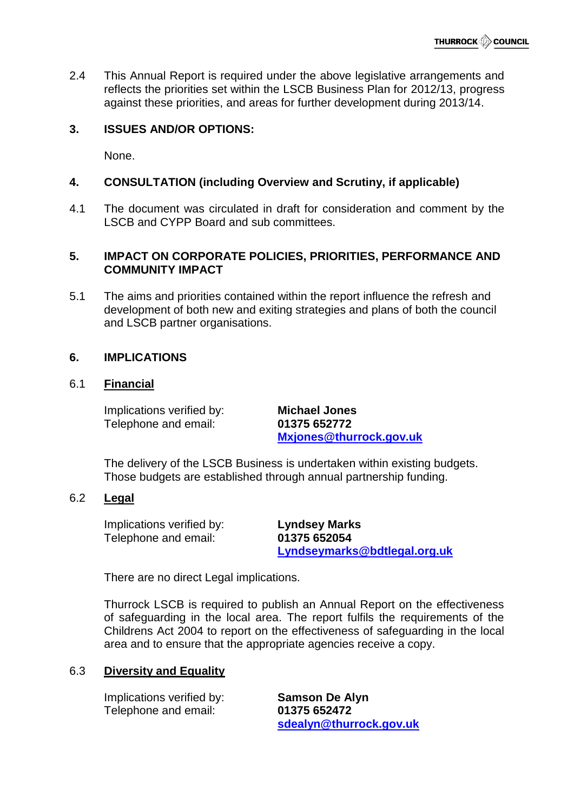2.4 This Annual Report is required under the above legislative arrangements and reflects the priorities set within the LSCB Business Plan for 2012/13, progress against these priorities, and areas for further development during 2013/14.

## **3. ISSUES AND/OR OPTIONS:**

None.

## **4. CONSULTATION (including Overview and Scrutiny, if applicable)**

4.1 The document was circulated in draft for consideration and comment by the LSCB and CYPP Board and sub committees.

#### **5. IMPACT ON CORPORATE POLICIES, PRIORITIES, PERFORMANCE AND COMMUNITY IMPACT**

5.1 The aims and priorities contained within the report influence the refresh and development of both new and exiting strategies and plans of both the council and LSCB partner organisations.

#### **6. IMPLICATIONS**

#### 6.1 **Financial**

Implications verified by: **Michael Jones** Telephone and email: **01375 652772**

**[Mxjones@thurrock.gov.uk](mailto:Mxjones@thurrock.gov.uk)**

The delivery of the LSCB Business is undertaken within existing budgets. Those budgets are established through annual partnership funding.

#### 6.2 **Legal**

Implications verified by: **Lyndsey Marks** Telephone and email: **01375 652054**

**[Lyndseymarks@bdtlegal.org.uk](mailto:Lyndseymarks@bdtlegal.org.uk)**

There are no direct Legal implications.

Thurrock LSCB is required to publish an Annual Report on the effectiveness of safeguarding in the local area. The report fulfils the requirements of the Childrens Act 2004 to report on the effectiveness of safeguarding in the local area and to ensure that the appropriate agencies receive a copy.

#### 6.3 **Diversity and Equality**

Implications verified by: **Samson De Alyn** Telephone and email: **01375 652472**

**[sdealyn@thurrock.gov.uk](mailto:sdealyn@thurrock.gov.uk)**